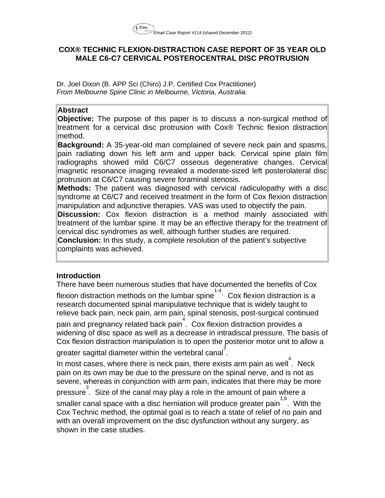

# **COX® TECHNIC FLEXION-DISTRACTION CASE REPORT OF 35 YEAR OLD MALE C6-C7 CERVICAL POSTEROCENTRAL DISC PROTRUSION**

Dr. Joel Dixon (B. APP Sci (Chiro) J.P, Certified Cox Practitioner) *From Melbourne Spine Clinic in Melbourne, Victoria, Australia.* 

### **Abstract**

**Objective:** The purpose of this paper is to discuss a non-surgical method of treatment for a cervical disc protrusion with Cox® Technic flexion distraction method.

**Background:** A 35-year-old man complained of severe neck pain and spasms, pain radiating down his left arm and upper back. Cervical spine plain film radiographs showed mild C6/C7 osseous degenerative changes. Cervical magnetic resonance imaging revealed a moderate-sized left posterolateral disc protrusion at C6/C7 causing severe foraminal stenosis.

**Methods:** The patient was diagnosed with cervical radiculopathy with a disc syndrome at C6/C7 and received treatment in the form of Cox flexion distraction manipulation and adjunctive therapies. VAS was used to objectify the pain.

**Discussion:** Cox flexion distraction is a method mainly associated with treatment of the lumbar spine. It may be an effective therapy for the treatment of cervical disc syndromes as well, although further studies are required.

**Conclusion:** In this study, a complete resolution of the patient's subjective complaints was achieved.

# **Introduction**

There have been numerous studies that have documented the benefits of Cox flexion distraction methods on the lumbar spine $\stackrel{1\text{-}4}{\cdot}$  Cox flexion distraction is a research documented spinal manipulative technique that is widely taught to relieve back pain, neck pain, arm pain, spinal stenosis, post-surgical continued pain and pregnancy related back pain 4 . Cox flexion distraction provides a widening of disc space as well as a decrease in intradiscal pressure. The basis of Cox flexion distraction manipulation is to open the posterior motor unit to allow a greater sagittal diameter within the vertebral canal  $\stackrel{3}{\cdot}$ 

In most cases, where there is neck pain, there exists arm pain as well<sup>4</sup>. Neck pain on its own may be due to the pressure on the spinal nerve, and is not as severe, whereas in conjunction with arm pain, indicates that there may be more pressure 3 . Size of the canal may play a role in the amount of pain where a smaller canal space with a disc herniation will produce greater pain  $1,6$ . With the Cox Technic method, the optimal goal is to reach a state of relief of no pain and with an overall improvement on the disc dysfunction without any surgery, as shown in the case studies.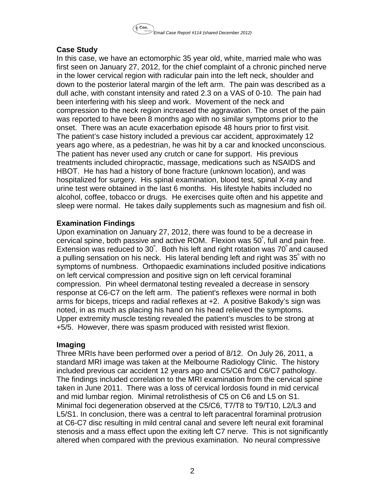

# **Case Study**

In this case, we have an ectomorphic 35 year old, white, married male who was first seen on January 27, 2012, for the chief complaint of a chronic pinched nerve in the lower cervical region with radicular pain into the left neck, shoulder and down to the posterior lateral margin of the left arm. The pain was described as a dull ache, with constant intensity and rated 2.3 on a VAS of 0-10. The pain had been interfering with his sleep and work. Movement of the neck and compression to the neck region increased the aggravation. The onset of the pain was reported to have been 8 months ago with no similar symptoms prior to the onset. There was an acute exacerbation episode 48 hours prior to first visit. The patient's case history included a previous car accident, approximately 12 years ago where, as a pedestrian, he was hit by a car and knocked unconscious. The patient has never used any crutch or cane for support. His previous treatments included chiropractic, massage, medications such as NSAIDS and HBOT. He has had a history of bone fracture (unknown location), and was hospitalized for surgery. His spinal examination, blood test, spinal X-ray and urine test were obtained in the last 6 months. His lifestyle habits included no alcohol, coffee, tobacco or drugs. He exercises quite often and his appetite and sleep were normal. He takes daily supplements such as magnesium and fish oil.

# **Examination Findings**

Upon examination on January 27, 2012, there was found to be a decrease in cervical spine, both passive and active ROM. Flexion was 50º , full and pain free. Extension was reduced to  $30^{\circ}$ . Both his left and right rotation was  $70^{\circ}$  and caused a pulling sensation on his neck. His lateral bending left and right was  $35^{\circ}$  with no symptoms of numbness. Orthopaedic examinations included positive indications on left cervical compression and positive sign on left cervical foraminal compression. Pin wheel dermatonal testing revealed a decrease in sensory response at C6-C7 on the left arm. The patient's reflexes were normal in both arms for biceps, triceps and radial reflexes at +2. A positive Bakody's sign was noted, in as much as placing his hand on his head relieved the symptoms. Upper extremity muscle testing revealed the patient's muscles to be strong at +5/5. However, there was spasm produced with resisted wrist flexion.

### **Imaging**

Three MRIs have been performed over a period of 8/12. On July 26, 2011, a standard MRI image was taken at the Melbourne Radiology Clinic. The history included previous car accident 12 years ago and C5/C6 and C6/C7 pathology. The findings included correlation to the MRI examination from the cervical spine taken in June 2011. There was a loss of cervical lordosis found in mid cervical and mid lumbar region. Minimal retrolisthesis of C5 on C6 and L5 on S1. Minimal foci degeneration observed at the C5/C6, T7/T8 to T9/T10, L2/L3 and L5/S1. In conclusion, there was a central to left paracentral foraminal protrusion at C6-C7 disc resulting in mild central canal and severe left neural exit foraminal stenosis and a mass effect upon the exiting left C7 nerve. This is not significantly altered when compared with the previous examination. No neural compressive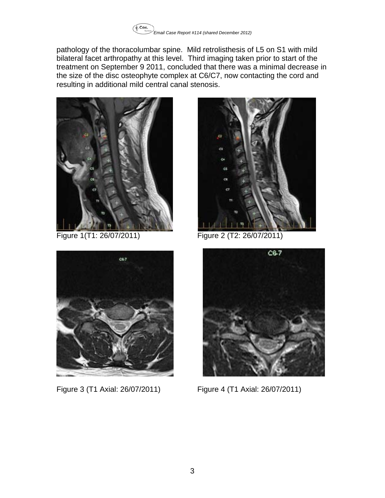

pathology of the thoracolumbar spine. Mild retrolisthesis of L5 on S1 with mild bilateral facet arthropathy at this level. Third imaging taken prior to start of the treatment on September 9 2011, concluded that there was a minimal decrease in the size of the disc osteophyte complex at C6/C7, now contacting the cord and resulting in additional mild central canal stenosis.





Figure 1(T1: 26/07/2011) Figure 2 (T2: 26/07/2011)



Figure 3 (T1 Axial: 26/07/2011) Figure 4 (T1 Axial: 26/07/2011)

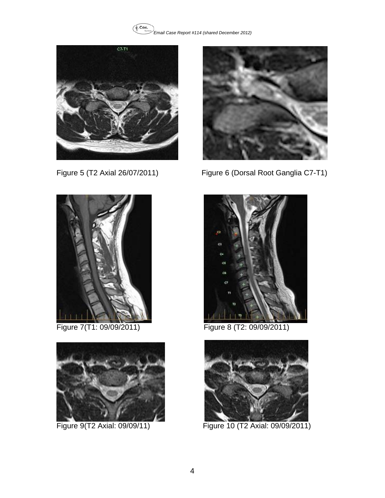





Figure 5 (T2 Axial 26/07/2011) Figure 6 (Dorsal Root Ganglia C7-T1)







Figure 7(T1: 09/09/2011) Figure 8 (T2: 09/09/2011)



Figure 9(T2 Axial: 09/09/11) Figure 10 (T2 Axial: 09/09/2011)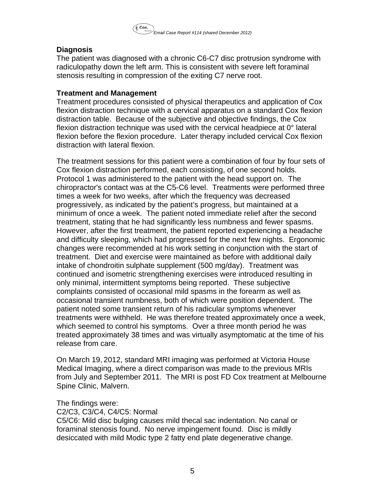

## **Diagnosis**

The patient was diagnosed with a chronic C6-C7 disc protrusion syndrome with radiculopathy down the left arm. This is consistent with severe left foraminal stenosis resulting in compression of the exiting C7 nerve root.

## **Treatment and Management**

Treatment procedures consisted of physical therapeutics and application of Cox flexion distraction technique with a cervical apparatus on a standard Cox flexion distraction table. Because of the subjective and objective findings, the Cox flexion distraction technique was used with the cervical headpiece at 0° lateral flexion before the flexion procedure. Later therapy included cervical Cox flexion distraction with lateral flexion.

The treatment sessions for this patient were a combination of four by four sets of Cox flexion distraction performed, each consisting, of one second holds. Protocol 1 was administered to the patient with the head support on. The chiropractor's contact was at the C5-C6 level. Treatments were performed three times a week for two weeks, after which the frequency was decreased progressively, as indicated by the patient's progress, but maintained at a minimum of once a week. The patient noted immediate relief after the second treatment, stating that he had significantly less numbness and fewer spasms. However, after the first treatment, the patient reported experiencing a headache and difficulty sleeping, which had progressed for the next few nights. Ergonomic changes were recommended at his work setting in conjunction with the start of treatment. Diet and exercise were maintained as before with additional daily intake of chondroitin sulphate supplement (500 mg/day). Treatment was continued and isometric strengthening exercises were introduced resulting in only minimal, intermittent symptoms being reported. These subjective complaints consisted of occasional mild spasms in the forearm as well as occasional transient numbness, both of which were position dependent. The patient noted some transient return of his radicular symptoms whenever treatments were withheld. He was therefore treated approximately once a week, which seemed to control his symptoms. Over a three month period he was treated approximately 38 times and was virtually asymptomatic at the time of his release from care.

On March 19, 2012, standard MRI imaging was performed at Victoria House Medical Imaging, where a direct comparison was made to the previous MRIs from July and September 2011. The MRI is post FD Cox treatment at Melbourne Spine Clinic, Malvern.

### The findings were:

C2/C3, C3/C4, C4/C5: Normal

C5/C6: Mild disc bulging causes mild thecal sac indentation. No canal or foraminal stenosis found. No nerve impingement found. Disc is mildly desiccated with mild Modic type 2 fatty end plate degenerative change.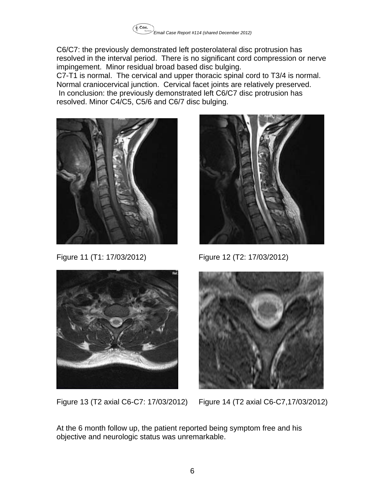C6/C7: the previously demonstrated left posterolateral disc protrusion has resolved in the interval period. There is no significant cord compression or nerve impingement. Minor residual broad based disc bulging. C7-T1 is normal. The cervical and upper thoracic spinal cord to T3/4 is normal. Normal craniocervical junction. Cervical facet joints are relatively preserved. In conclusion: the previously demonstrated left C6/C7 disc protrusion has resolved. Minor C4/C5, C5/6 and C6/7 disc bulging.



Figure 11 (T1: 17/03/2012) Figure 12 (T2: 17/03/2012)





Figure 13 (T2 axial C6-C7: 17/03/2012) Figure 14 (T2 axial C6-C7,17/03/2012)



At the 6 month follow up, the patient reported being symptom free and his objective and neurologic status was unremarkable.